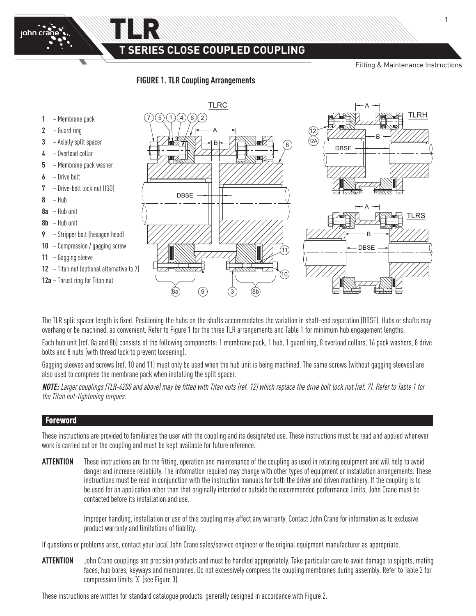**SERIES CLOSE COUPLED COUPLING** 

Fitting & Maintenance Instructions



TLR

john crane



The TLR split spacer length is fixed. Positioning the hubs on the shafts accommodates the variation in shaft-end separation (DBSE). Hubs or shafts may overhang or be machined, as convenient. Refer to Figure 1 for the three TLR arrangements and Table 1 for minimum hub engagement lengths.

Each hub unit (ref. 8a and 8b) consists of the following components: 1 membrane pack, 1 hub, 1 guard ring, 8 overload collars, 16 pack washers, 8 drive bolts and 8 nuts (with thread lock to prevent loosening).

Gagging sleeves and screws (ref. 10 and 11) must only be used when the hub unit is being machined. The same screws (without gagging sleeves) are also used to compress the membrane pack when installing the split spacer.

**NOTE:** Larger couplings (TLR-4200 and above) may be fitted with Titan nuts (ref. 12) which replace the drive bolt lock nut (ref. 7). Refer to Table 1 for the Titan nut-tightening torques.

### Foreword

These instructions are provided to familiarize the user with the coupling and its designated use. These instructions must be read and applied whenever B work is carried out on the coupling and must be kept available for future reference.

**ATTENTION** These instructions are for the fitting, operation and maintenance of the coupling as used in rotating equipment and will help to avoid danger and increase reliability. The information required may change with other types of equipment or installation arrangements. These instructions must be read in conjunction with the instruction manuals for both the driver and driven machinery. If the coupling is to be used for an application other than that originally intended or outside the recommended performance limits, John Crane must be contacted before its installation and use.

> Improper handling, installation or use of this coupling may affect any warranty. Contact John Crane for information as to exclusive product warranty and limitations of liability.

If questions or problems arise, contact your local John Crane sales/service engineer or the original equipment manufacturer as appropriate.

**ATTENTION** John Crane couplings are precision products and must be handled appropriately. Take particular care to avoid damage to spigots, mating faces, hub bores, keyways and membranes. Do not excessively compress the coupling membranes during assembly. Refer to Table 2 for compression limits 'X' (see Figure 3)

These instructions are written for standard catalogue products, generally designed in accordance with Figure 2.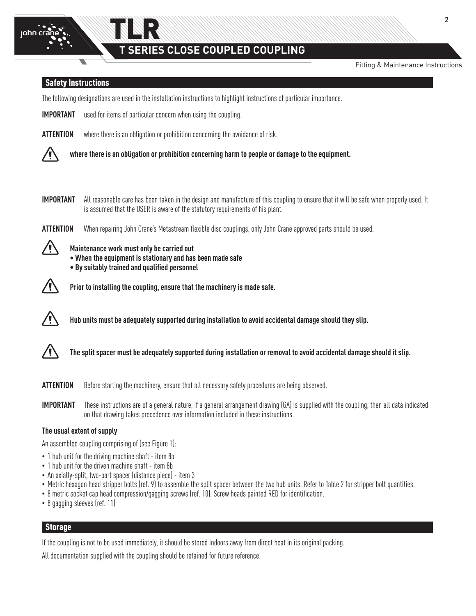

# TLR **SERIES CLOSE COUPLED COUPLING**

Fitting & Maintenance Instructions

### Safety Instructions

The following designations are used in the installation instructions to highlight instructions of particular importance.

**IMPORTANT** used for items of particular concern when using the coupling.

**ATTENTION** where there is an obligation or prohibition concerning the avoidance of risk.



**where there is an obligation or prohibition concerning harm to people or damage to the equipment.**

**IMPORTANT** All reasonable care has been taken in the design and manufacture of this coupling to ensure that it will be safe when properly used. It is assumed that the USER is aware of the statutory requirements of his plant.

**ATTENTION** When repairing John Crane's Metastream flexible disc couplings, only John Crane approved parts should be used.



**Maintenance work must only be carried out**

**• When the equipment is stationary and has been made safe** 

**• By suitably trained and qualified personnel**



**Prior to installing the coupling, ensure that the machinery is made safe.** 



**Hub units must be adequately supported during installation to avoid accidental damage should they slip.**



**The split spacer must be adequately supported during installation or removal to avoid accidental damage should it slip.**

**ATTENTION** Before starting the machinery, ensure that all necessary safety procedures are being observed.

**IMPORTANT** These instructions are of a general nature, if a general arrangement drawing (GA) is supplied with the coupling, then all data indicated on that drawing takes precedence over information included in these instructions.

### **The usual extent of supply**

An assembled coupling comprising of (see Figure 1):

- 1 hub unit for the driving machine shaft item 8a
- 1 hub unit for the driven machine shaft item 8b
- An axially-split, two-part spacer (distance piece) item 3
- Metric hexagon head stripper bolts (ref. 9) to assemble the split spacer between the two hub units. Refer to Table 2 for stripper bolt quantities.
- 8 metric socket cap head compression/gagging screws (ref. 10). Screw heads painted RED for identification.
- 8 gagging sleeves (ref. 11)

# **Storage**

If the coupling is not to be used immediately, it should be stored indoors away from direct heat in its original packing.

All documentation supplied with the coupling should be retained for future reference.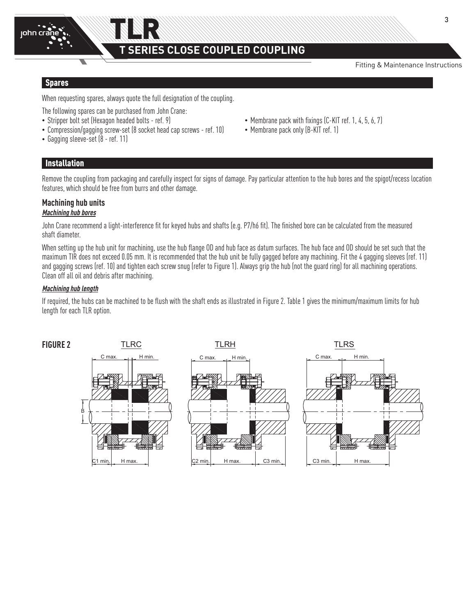

# TLR **SERIES CLOSE COUPLED COUPLING**

Fitting & Maintenance Instructions

A

#### Spares

When requesting spares, always quote the full designation of the coupling.

DBSE

The following spares can be purchased from John Crane:

- 
- Compression/gagging screw-set (8 socket head cap screws ref. 10) Membrane pack only (B-KIT ref. 1)
- Gagging sleeve-set (8 ref. 11)
- Stripper bolt set (Hexagon headed bolts ref. 9) Membrane pack with fixings (C-KIT ref. 1, 4, 5, 6, 7)
	-

### Installation

Remove the coupling from packaging and carefully inspect for signs of damage. Pay particular attention to the hub bores and the spigot/recess location features, which should be free from burrs and other damage.

### **Machining hub units**

### **Machining hub bores**

John Crane recommend a light-interference fit for keyed hubs and shafts (e.g. P7/h6 fit). The finished bore can be calculated from the measured shaft diameter.

When setting up the hub unit for machining, use the hub flange OD and hub face as datum surfaces. The hub face and OD should be set such that the maximum TIR does not exceed 0.05 mm. It is recommended that the hub unit be fully gagged before any machining. Fit the 4 gagging sleeves (ref. 11) and gagging screws (ref. 10) and tighten each screw snug (refer to Figure 1). Always grip the hub (not the guard ring) for all machining operations. Clean off all oil and debris after machining.

### **Machining hub length**

If required, the hubs can be machined to be flush with the shaft ends as illustrated in Figure 2. Table 1 gives the minimum/maximum limits for hub length for each TLR option.

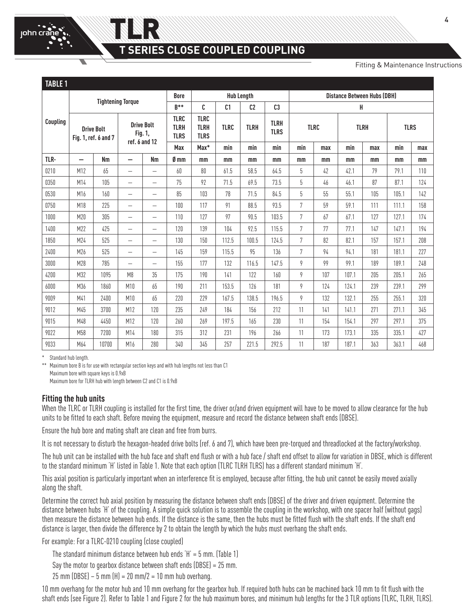# **SERIES CLOSE COUPLED COUPLING**

Fitting & Maintenance Instructions

| <b>TABLE 1</b> |                                           |           |                                               |                                  |                                           |                                           |                      |                                    |                            |     |             |       |             |             |     |
|----------------|-------------------------------------------|-----------|-----------------------------------------------|----------------------------------|-------------------------------------------|-------------------------------------------|----------------------|------------------------------------|----------------------------|-----|-------------|-------|-------------|-------------|-----|
|                | <b>Tightening Torque</b>                  |           |                                               | <b>Hub Length</b><br><b>Bore</b> |                                           |                                           |                      | <b>Distance Between Hubs (DBH)</b> |                            |     |             |       |             |             |     |
| Coupling       |                                           |           |                                               | $R^{**}$                         | C                                         | C <sub>1</sub>                            | C2<br>C <sub>3</sub> | н                                  |                            |     |             |       |             |             |     |
|                | <b>Drive Bolt</b><br>Fig. 1, ref. 6 and 7 |           | <b>Drive Bolt</b><br>Fig. 1,<br>ref. 6 and 12 |                                  | <b>TLRC</b><br><b>TLRH</b><br><b>TLRS</b> | <b>TLRC</b><br><b>TLRH</b><br><b>TLRS</b> | <b>TLRC</b>          | <b>TLRH</b>                        | <b>TLRH</b><br><b>TLRS</b> |     | <b>TLRC</b> |       | <b>TLRH</b> | <b>TLRS</b> |     |
|                |                                           |           |                                               |                                  | Max                                       | Max*                                      | min                  | min                                | min                        | min | max         | min   | max         | min         | max |
| TLR-           | $\overline{\phantom{0}}$                  | <b>Nm</b> | $\overline{\phantom{0}}$                      | Nm                               | Ø mm                                      | mm                                        | mm                   | mm                                 | mm                         | mm  | mm          | mm    | mm          | mm          | mm  |
| 0210           | M12                                       | 65        | $\overline{\phantom{0}}$                      | $\overline{\phantom{0}}$         | 60                                        | 80                                        | 61.5                 | 58.5                               | 64.5                       | 5   | 42          | 42.1  | 79          | 79.1        | 110 |
| 0350           | M14                                       | 105       | $\overline{\phantom{0}}$                      | $\overline{\phantom{0}}$         | 75                                        | 92                                        | 71.5                 | 69.5                               | 73.5                       | 5   | 46          | 46.1  | 87          | 87.1        | 124 |
| 0530           | M16                                       | 160       | $\overline{\phantom{0}}$                      | $\overline{\phantom{0}}$         | 85                                        | 103                                       | 78                   | 71.5                               | 84.5                       | 5   | 55          | 55.1  | 105         | 105.1       | 142 |
| 0750           | M18                                       | 225       | $\overline{\phantom{0}}$                      | $\overline{\phantom{0}}$         | 100                                       | 117                                       | 91                   | 88.5                               | 93.5                       | 7   | 59          | 59.1  | 111         | 111.1       | 158 |
| 1000           | M20                                       | 305       | $\overline{\phantom{0}}$                      | $\overline{\phantom{0}}$         | 110                                       | 127                                       | 97                   | 90.5                               | 103.5                      | 7   | 67          | 67.1  | 127         | 127.1       | 174 |
| 1400           | M22                                       | 425       | $\overline{\phantom{0}}$                      | $\overline{\phantom{0}}$         | 120                                       | 139                                       | 104                  | 92.5                               | 115.5                      | 7   | 77          | 77.1  | 147         | 147.1       | 194 |
| 1850           | M24                                       | 525       | $\overline{\phantom{0}}$                      | $\overline{\phantom{0}}$         | 130                                       | 150                                       | 112.5                | 100.5                              | 124.5                      | 7   | 82          | 82.1  | 157         | 157.1       | 208 |
| 2400           | M26                                       | 525       |                                               | $\overline{\phantom{0}}$         | 145                                       | 159                                       | 115.5                | 95                                 | 136                        | 7   | 94          | 94.1  | 181         | 181.1       | 227 |
| 3000           | M28                                       | 785       | $\overline{\phantom{0}}$                      | $\overline{\phantom{0}}$         | 155                                       | 177                                       | 132                  | 116.5                              | 147.5                      | 9   | 99          | 99.1  | 189         | 189.1       | 248 |
| 4200           | M32                                       | 1095      | M <sub>8</sub>                                | 35                               | 175                                       | 190                                       | 141                  | 122                                | 160                        | 9   | 107         | 107.1 | 205         | 205.1       | 265 |
| 6000           | M36                                       | 1860      | M10                                           | 65                               | 190                                       | 211                                       | 153.5                | 126                                | 181                        | 9   | 124         | 124.1 | 239         | 239.1       | 299 |
| 9009           | M41                                       | 2400      | M10                                           | 65                               | 220                                       | 229                                       | 167.5                | 138.5                              | 196.5                      | 9   | 132         | 132.1 | 255         | 255.1       | 320 |
| 9012           | M45                                       | 3700      | M12                                           | 120                              | 235                                       | 249                                       | 184                  | 156                                | 212                        | 11  | 141         | 141.1 | 271         | 271.1       | 345 |
| 9015           | M48                                       | 4450      | M12                                           | 120                              | 260                                       | 269                                       | 197.5                | 165                                | 230                        | 11  | 154         | 154.1 | 297         | 297.1       | 375 |
| 9022           | M58                                       | 7200      | M14                                           | 180                              | 315                                       | 312                                       | 231                  | 196                                | 266                        | 11  | 173         | 173.1 | 335         | 335.1       | 427 |
| 9033           | M64                                       | 10700     | M16                                           | 280                              | 340                                       | 345                                       | 257                  | 221.5                              | 292.5                      | 11  | 187         | 187.1 | 363         | 363.1       | 468 |

Standard hub length.

Maximum bore B is for use with rectangular section keys and with hub lengths not less than C1 Maximum bore with square keys is 0.9xB Maximum bore for TLRH hub with length between C2 and C1 is 0.9xB

TLR

### **Fitting the hub units**

When the TLRC or TLRH coupling is installed for the first time, the driver or/and driven equipment will have to be moved to allow clearance for the hub units to be fitted to each shaft. Before moving the equipment, measure and record the distance between shaft ends (DBSE).

Ensure the hub bore and mating shaft are clean and free from burrs.

It is not necessary to disturb the hexagon-headed drive bolts (ref. 6 and 7), which have been pre-torqued and threadlocked at the factory/workshop.

The hub unit can be installed with the hub face and shaft end flush or with a hub face / shaft end offset to allow for variation in DBSE, which is different to the standard minimum 'H' listed in Table 1. Note that each option (TLRC TLRH TLRS) has a different standard minimum 'H'.

This axial position is particularly important when an interference fit is employed, because after fitting, the hub unit cannot be easily moved axially along the shaft.

Determine the correct hub axial position by measuring the distance between shaft ends (DBSE) of the driver and driven equipment. Determine the distance between hubs 'H' of the coupling. A simple quick solution is to assemble the coupling in the workshop, with one spacer half (without gags) then measure the distance between hub ends. If the distance is the same, then the hubs must be fitted flush with the shaft ends. If the shaft end distance is larger, then divide the difference by 2 to obtain the length by which the hubs must overhang the shaft ends.

For example: For a TLRC-0210 coupling (close coupled)

The standard minimum distance between hub ends  $H = 5$  mm. (Table 1)

Say the motor to gearbox distance between shaft ends (DBSE) = 25 mm.

25 mm (DBSE) – 5 mm (H) = 20 mm/2 = 10 mm hub overhang.

10 mm overhang for the motor hub and 10 mm overhang for the gearbox hub. If required both hubs can be machined back 10 mm to fit flush with the shaft ends (see Figure 2). Refer to Table 1 and Figure 2 for the hub maximum bores, and minimum hub lengths for the 3 TLR options (TLRC, TLRH, TLRS).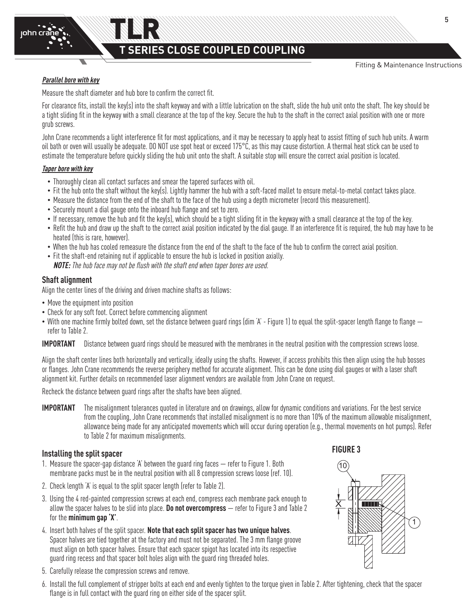Fitting & Maintenance Instructions

### **Parallel bore with key**

john crane

Measure the shaft diameter and hub bore to confirm the correct fit.

For clearance fits, install the key(s) into the shaft keyway and with a little lubrication on the shaft, slide the hub unit onto the shaft. The key should be a tight sliding fit in the keyway with a small clearance at the top of the key. Secure the hub to the shaft in the correct axial position with one or more grub screws.

John Crane recommends a light interference fit for most applications, and it may be necessary to apply heat to assist fitting of such hub units. A warm oil bath or oven will usually be adequate. DO NOT use spot heat or exceed 175°C, as this may cause distortion. A thermal heat stick can be used to estimate the temperature before quickly sliding the hub unit onto the shaft. A suitable stop will ensure the correct axial position is located.

### **Taper bore with key**

- Thoroughly clean all contact surfaces and smear the tapered surfaces with oil.
- Fit the hub onto the shaft without the key(s). Lightly hammer the hub with a soft-faced mallet to ensure metal-to-metal contact takes place.
- Measure the distance from the end of the shaft to the face of the hub using a depth micrometer (record this measurement).
- Securely mount a dial gauge onto the inboard hub flange and set to zero.
- If necessary, remove the hub and fit the key(s), which should be a tight sliding fit in the keyway with a small clearance at the top of the key.
- Refit the hub and draw up the shaft to the correct axial position indicated by the dial gauge. If an interference fit is required, the hub may have to be heated (this is rare, however).
- When the hub has cooled remeasure the distance from the end of the shaft to the face of the hub to confirm the correct axial position.
- Fit the shaft-end retaining nut if applicable to ensure the hub is locked in position axially. **NOTE:** The hub face may not be flush with the shaft end when taper bores are used.

### **Shaft alignment**

Align the center lines of the driving and driven machine shafts as follows:

- Move the equipment into position
- Check for any soft foot. Correct before commencing alignment
- With one machine firmly bolted down, set the distance between quard rings (dim 'A' Figure 1) to equal the split-spacer length flange to flange  $$ refer to Table 2.

**IMPORTANT** Distance between guard rings should be measured with the membranes in the neutral position with the compression screws loose.

Align the shaft center lines both horizontally and vertically, ideally using the shafts. However, if access prohibits this then align using the hub bosses or flanges. John Crane recommends the reverse periphery method for accurate alignment. This can be done using dial gauges or with a laser shaft alignment kit. Further details on recommended laser alignment vendors are available from John Crane on request.

Recheck the distance between guard rings after the shafts have been aligned.

**IMPORTANT** The misalignment tolerances quoted in literature and on drawings, allow for dynamic conditions and variations. For the best service from the coupling, John Crane recommends that installed misalignment is no more than 10% of the maximum allowable misalignment, allowance being made for any anticipated movements which will occur during operation (e.g., thermal movements on hot pumps). Refer to Table 2 for maximum misalignments.

### **Installing the split spacer**

- 1. Measure the spacer-gap distance 'A' between the guard ring faces refer to Figure 1. Both membrane packs must be in the neutral position with all 8 compression screws loose (ref. 10).
- 2. Check length 'A' is equal to the split spacer length (refer to Table 2). A
- 3. Using the 4 red-painted compression screws at each end, compress each membrane pack enough to allow the spacer halves to be slid into place. **Do not overcompress** — refer to Figure 3 and Table 2 for the **minimum gap 'X'**.
- 4. Insert both halves of the split spacer. **Note that each split spacer has two unique halves**. B Spacer halves are tied together at the factory and must not be separated. The 3 mm flange groove must align on both spacer halves. Ensure that each spacer spigot has located into its respective guard ring recess and that spacer bolt holes align with the guard ring threaded holes.
- 5. Carefully release the compression screws and remove.
- 6. Install the full complement of stripper bolts at each end and evenly tighten to the torque given in Table 2. After tightening, check that the spacer flange is in full contact with the guard ring on either side of the spacer split.



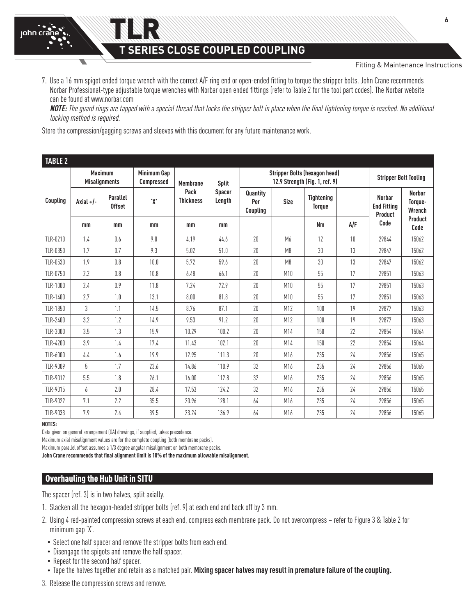**SERIES CLOSE COUPLED COUPLING** 

Fitting & Maintenance Instructions

7. Use a 16 mm spigot ended torque wrench with the correct A/F ring end or open-ended fitting to torque the stripper bolts. John Crane recommends Norbar Professional-type adjustable torque wrenches with Norbar open ended fittings (refer to Table 2 for the tool part codes). The Norbar website can be found at www.norbar.com

**NOTE:** The guard rings are tapped with a special thread that locks the stripper bolt in place when the final tightening torque is reached. No additional locking method is required.

Store the compression/gagging screws and sleeves with this document for any future maintenance work.

TLR

| <b>TABLE 2</b>  |                                        |                                  |                                         |                          |                         |                                                                        |                |                                    |     |                                                        |                                    |
|-----------------|----------------------------------------|----------------------------------|-----------------------------------------|--------------------------|-------------------------|------------------------------------------------------------------------|----------------|------------------------------------|-----|--------------------------------------------------------|------------------------------------|
|                 | <b>Maximum</b><br><b>Misalignments</b> |                                  | <b>Minimum Gap</b><br><b>Compressed</b> | <b>Membrane</b>          | <b>Split</b>            | <b>Stripper Bolts (hexagon head)</b><br>12.9 Strength (Fig. 1, ref. 9) |                |                                    |     | <b>Stripper Bolt Tooling</b>                           |                                    |
| Coupling        | Axial +/-                              | <b>Parallel</b><br><b>Offset</b> | 'X'                                     | Pack<br><b>Thickness</b> | <b>Spacer</b><br>Length | Quantity<br>Per<br>Coupling                                            | <b>Size</b>    | <b>Tightening</b><br><b>Torque</b> |     | <b>Norbar</b><br><b>End Fitting</b><br>Product<br>Code | <b>Norbar</b><br>Torque-<br>Wrench |
|                 | mm                                     | mm                               | mm                                      | mm                       | mm                      |                                                                        |                | Nm                                 | A/F |                                                        | Product<br>Code                    |
| TLR-0210        | 1.4                                    | 0.6                              | 9.0                                     | 4.19                     | 44.6                    | 20                                                                     | M <sub>6</sub> | 12                                 | 10  | 29844                                                  | 15062                              |
| TLR-0350        | 1.7                                    | 0.7                              | 9.3                                     | 5.02                     | 51.0                    | 20                                                                     | M8             | 30                                 | 13  | 29847                                                  | 15062                              |
| TLR-0530        | 1.9                                    | 0.8                              | 10.0                                    | 5.72                     | 59.6                    | 20                                                                     | M8             | 30                                 | 13  | 29847                                                  | 15062                              |
| TLR-0750        | 2.2                                    | 0.8                              | 10.8                                    | 6.48                     | 66.1                    | 20                                                                     | M10            | 55                                 | 17  | 29851                                                  | 15063                              |
| <b>TLR-1000</b> | 2.4                                    | 0.9                              | 11.8                                    | 7.24                     | 72.9                    | 20                                                                     | M10            | 55                                 | 17  | 29851                                                  | 15063                              |
| TLR-1400        | 2.7                                    | 1.0                              | 13.1                                    | 8.00                     | 81.8                    | 20                                                                     | M10            | 55                                 | 17  | 29851                                                  | 15063                              |
| TLR-1850        | 3                                      | 1.1                              | 14.5                                    | 8.76                     | 87.1                    | 20                                                                     | M12            | 100                                | 19  | 29877                                                  | 15063                              |
| TLR-2400        | 3.2                                    | 1.2                              | 14.9                                    | 9.53                     | 91.2                    | 20                                                                     | M12            | 100                                | 19  | 29877                                                  | 15063                              |
| TLR-3000        | 3.5                                    | 1.3                              | 15.9                                    | 10.29                    | 100.2                   | 20                                                                     | M14            | 150                                | 22  | 29854                                                  | 15064                              |
| TLR-4200        | 3.9                                    | 1.4                              | 17.4                                    | 11.43                    | 102.1                   | 20                                                                     | M14            | 150                                | 22  | 29854                                                  | 15064                              |
| TLR-6000        | 4.4                                    | 1.6                              | 19.9                                    | 12.95                    | 111.3                   | 20                                                                     | M16            | 235                                | 24  | 29856                                                  | 15065                              |
| TLR-9009        | 5                                      | 1.7                              | 23.6                                    | 14.86                    | 110.9                   | 32                                                                     | M16            | 235                                | 24  | 29856                                                  | 15065                              |
| TLR-9012        | 5.5                                    | 1.8                              | 26.1                                    | 16.00                    | 112.8                   | 32                                                                     | M16            | 235                                | 24  | 29856                                                  | 15065                              |
| TLR-9015        | 6                                      | 2.0                              | 28.4                                    | 17.53                    | 124.2                   | 32                                                                     | M16            | 235                                | 24  | 29856                                                  | 15065                              |
| TLR-9022        | 7.1                                    | 2.2                              | 35.5                                    | 20.96                    | 128.1                   | 64                                                                     | M16            | 235                                | 24  | 29856                                                  | 15065                              |
| TLR-9033        | 7.9                                    | 2.4                              | 39.5                                    | 23.24                    | 136.9                   | 64                                                                     | M16            | 235                                | 24  | 29856                                                  | 15065                              |

#### **NOTES:**

john cra

Data given on general arrangement (GA) drawings, if supplied, takes precedence.

Maximum axial misalignment values are for the complete coupling (both membrane packs).

Maximum parallel offset assumes a 1/3 degree angular misalignment on both membrane packs.

**John Crane recommends that final alignment limit is 10% of the maximum allowable misalignment.**

### Overhauling the Hub Unit in SITU

The spacer (ref. 3) is in two halves, split axially.

- 1. Slacken all the hexagon-headed stripper bolts (ref. 9) at each end and back off by 3 mm.
- 2. Using 4 red-painted compression screws at each end, compress each membrane pack. Do not overcompress refer to Figure 3 & Table 2 for minimum gap 'X'.
	- Select one half spacer and remove the stripper bolts from each end.
	- Disengage the spigots and remove the half spacer.
	- Repeat for the second half spacer.
	- Tape the halves together and retain as a matched pair. **Mixing spacer halves may result in premature failure of the coupling.**
- 3. Release the compression screws and remove.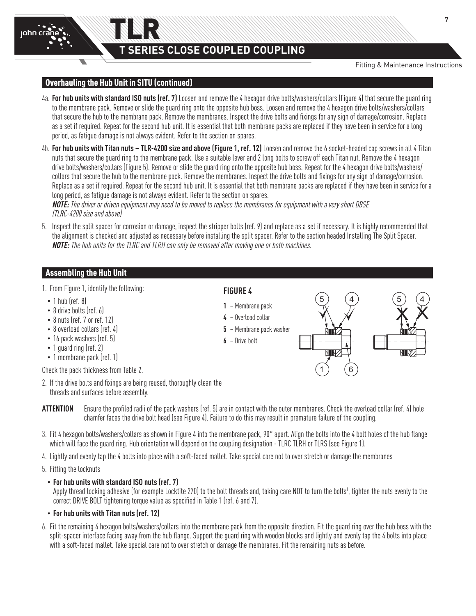Fitting & Maintenance Instructions

10

X

# .<br>Overhauling the Hub Unit in SITU (continued)

TLR

- 4a. **For hub units with standard ISO nuts (ref. 7)** Loosen and remove the 4 hexagon drive bolts/washers/collars (Figure 4) that secure the guard ring to the membrane pack. Remove or slide the guard ring onto the opposite hub boss. Loosen and remove the 4 hexagon drive bolts/washers/collars that secure the hub to the membrane pack. Remove the membranes. Inspect the drive bolts and fixings for any sign of damage/corrosion. Replace as a set if required. Repeat for the second hub unit. It is essential that both membrane packs are replaced if they have been in service for a long period, as fatigue damage is not always evident. Refer to the section on spares.
- 4b. **For hub units with Titan nuts TLR-4200 size and above (Figure 1, ref. 12)** Loosen and remove the 6 socket-headed cap screws in all 4 Titan nuts that secure the guard ring to the membrane pack. Use a suitable lever and 2 long bolts to screw off each Titan nut. Remove the 4 hexagon drive bolts/washers/collars (Figure 5). Remove or slide the guard ring onto the opposite hub boss. Repeat for the 4 hexagon drive bolts/washers/ collars that secure the hub to the membrane pack. Remove the membranes. Inspect the drive bolts and fixings for any sign of damage/corrosion. Replace as a set if required. Repeat for the second hub unit. It is essential that both membrane packs are replaced if they have been in service for a long period, as fatigue damage is not always evident. Refer to the section on spares.

**NOTE:** The driver or driven equipment may need to be moved to replace the membranes for equipment with a very short DBSE (TLRC-4200 size and above)

the section of the sectional above the section of damage, inspect the stripper bolts (ref. 9) and replace as a set if necessary. It is highly recommended that that increased that increased that increased that increased tha the alignment is checked and adjusted as necessary before installing the split spacer. Refer to the section headed Installing The Split Spacer. **NOTE:** The hub units for the TLRC and TLRH can only be removed after moving one or both machines.

### Assembling the Hub Unit

- 1. From Figure 1, identify the following:
	- 1 hub (ref. 8)
	- 8 drive bolts (ref. 6)
	- 8 nuts (ref. 7 or ref. 12)
	- 8 overload collars (ref. 4)
	- 16 pack washers (ref. 5)
	- 1 guard ring (ref. 2)
	- 1 membrane pack (ref. 1)

Check the pack thickness from Table 2.

- 2. If the drive bolts and fixings are being reused, thoroughly clean the threads and surfaces before assembly.
- **ATTENTION** Ensure the profiled radii of the pack washers (ref. 5) are in contact with the outer membranes. Check the overload collar (ref. 4) hole chamfer faces the drive bolt head (see Figure 4). Failure to do this may result in premature failure of the coupling.
- 3. Fit 4 hexagon bolts/washers/collars as shown in Figure 4 into the membrane pack, 90° apart. Align the bolts into the 4 bolt holes of the hub flange which will face the guard ring. Hub orientation will depend on the coupling designation - TLRC TLRH or TLRS (see Figure 1).
- 4. Lightly and evenly tap the 4 bolts into place with a soft-faced mallet. Take special care not to over stretch or damage the membranes
- 5. Fitting the locknuts

### • **For hub units with standard ISO nuts (ref. 7)**

Apply thread locking adhesive (for example Locktite 270) to the bolt threads and, taking care NOT to turn the bolts1 , tighten the nuts evenly to the THRUST RING  $\overline{\text{correct}}$  DRIVE BOLT tightening torque value as specified in Table 1 (ref. 6 and 7).

### • **For hub units with Titan nuts (ref. 12)**

6. Fit the remaining 4 hexagon bolts/washers/collars into the membrane pack from the opposite direction. Fit the guard ring over the hub boss with the split-spacer interface facing away from the hub flange. Support the guard ring with wooden blocks and lightly and evenly tap the 4 bolts into place with a soft-faced mallet. Take special care not to over stretch or damage the membranes. Fit the remaining nuts as before. rummano pad

### **FIGURE 4**

- **1** Membrane pack
- **4** Overload collar
- **5** Membrane pack washer
- **6** Drive bolt



7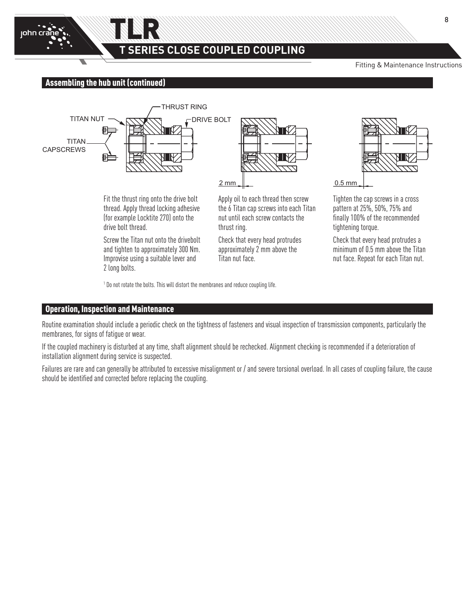

# **T SERIES CLOSE COUPLED COUPLING**

Fitting & Maintenance Instructions

## Assembling the hub unit (continued)



TLR

Fit the thrust ring onto the drive bolt thread. Apply thread locking adhesive (for example Locktite 270) onto the drive bolt thread.

Screw the Titan nut onto the drivebolt and tighten to approximately 300 Nm. Improvise using a suitable lever and 2 long bolts.

 $2 \text{ mm}$ Apply oil to each thread then screw

the 6 Titan cap screws into each Titan nut until each screw contacts the thrust ring.

Check that every head protrudes approximately 2 mm above the Titan nut face.



0.5 mm 0.5 mm 0.5 mm

Tighten the cap screws in a cross pattern at 25%, 50%, 75% and finally 100% of the recommended tightening torque.

Check that every head protrudes a minimum of 0.5 mm above the Titan nut face. Repeat for each Titan nut.

<sup>1</sup> Do not rotate the bolts. This will distort the membranes and reduce coupling life.

### Operation, Inspection and Maintenance

Routine examination should include a periodic check on the tightness of fasteners and visual inspection of transmission components, particularly the membranes, for signs of fatigue or wear.

If the coupled machinery is disturbed at any time, shaft alignment should be rechecked. Alignment checking is recommended if a deterioration of installation alignment during service is suspected.

Failures are rare and can generally be attributed to excessive misalignment or / and severe torsional overload. In all cases of coupling failure, the cause should be identified and corrected before replacing the coupling.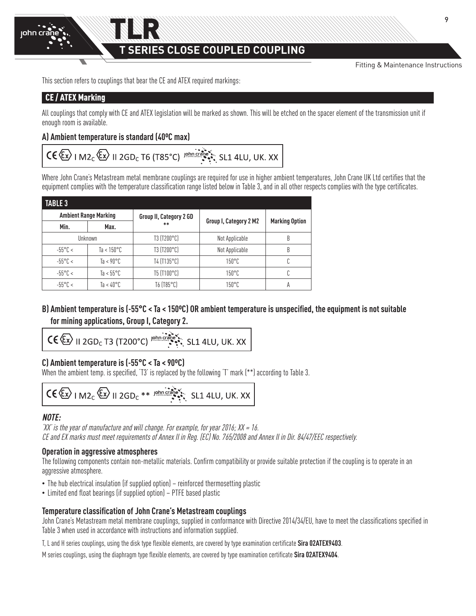Fitting & Maintenance Instructions

This section refers to couplings that bear the CE and ATEX required markings:

# CE / ATEX Marking

All couplings that comply with CE and ATEX legislation will be marked as shown. This will be etched on the spacer element of the transmission unit if enough room is available.

### **A) Ambient temperature is standard (40ºC max)**

# $CE \langle \overleftrightarrow{\xi_x} \rangle$  | M2<sub>C</sub> $\langle \overleftrightarrow{\xi_x} \rangle$  || 2GD<sub>C</sub> T6 (T85°C) |  $\overleftrightarrow{\xi_y}$  ||shn creative state SL1 4LU, UK. XX

Where John Crane's Metastream metal membrane couplings are required for use in higher ambient temperatures, John Crane UK Ltd certifies that the equipment complies with the temperature classification range listed below in Table 3, and in all other respects complies with the type certificates.

| <b>TABLE 3</b>    |                              |                         |                        |                       |  |  |  |  |  |
|-------------------|------------------------------|-------------------------|------------------------|-----------------------|--|--|--|--|--|
|                   | <b>Ambient Range Marking</b> | Group II, Category 2 GD |                        | <b>Marking Option</b> |  |  |  |  |  |
| Min.              | Max.                         | $**$                    | Group I, Category 2 M2 |                       |  |  |  |  |  |
|                   | Unknown                      | T3 (T200°C)             | Not Applicable         | B                     |  |  |  |  |  |
| $-55^{\circ}$ C < | Ta < $150^{\circ}$ C         | T3 (T200°C)             | Not Applicable         | B                     |  |  |  |  |  |
| $-55^{\circ}$ C < | Ta < $90^{\circ}$ C          | T4 (T135°C)             | $150^{\circ}$ C        | C                     |  |  |  |  |  |
| $-55^{\circ}$ C < | Ta < $55^{\circ}$ C          | T5 (T100°C)             | $150^{\circ}$ C        |                       |  |  |  |  |  |
| $-55^{\circ}$ C < | Ta < 40°C                    | T6 (T85°C)              | $150^{\circ}$ C        | А                     |  |  |  |  |  |

# **B) Ambient temperature is (-55°C < Ta < 150ºC) OR ambient temperature is unspecified, the equipment is not suitable for mining applications, Group I, Category 2.**

$$
CC \left(\overbrace{\mathsf{Ex}}\right) \parallel 2 \text{GD}_c \text{ T3} \text{ (T200°C)} \stackrel{\text{john crainé}}{\text{...}} \text{SL1} \text{ 4LU, UK. XX}
$$

# **C) Ambient temperature is (-55°C < Ta < 90ºC)**

When the ambient temp. is specified, 'T3' is replaced by the following 'T' mark (\*\*) according to Table 3.

$$
\text{CE} \leftarrow \text{M2}_{c} \leftarrow \text{N1} \text{2GD}_{c} \times \text{M2} \text{N1} \text{2GD}_{c} \times \text{M3} \text{N1} \text{2GD}_{c}
$$

# **NOTE:**

'XX' is the year of manufacture and will change. For example, for year 2016;  $XX = 16$ . CE and EX marks must meet requirements of Annex II in Reg. (EC) No. 765/2008 and Annex II in Dir. 84/47/EEC respectively.

### **Operation in aggressive atmospheres**

The following components contain non-metallic materials. Confirm compatibility or provide suitable protection if the coupling is to operate in an aggressive atmosphere.

- The hub electrical insulation (if supplied option) reinforced thermosetting plastic
- Limited end float bearings (if supplied option) PTFE based plastic

### **Temperature classification of John Crane's Metastream couplings**

John Crane's Metastream metal membrane couplings, supplied in conformance with Directive 2014/34/EU, have to meet the classifications specified in Table 3 when used in accordance with instructions and information supplied.

T, L and H series couplings, using the disk type flexible elements, are covered by type examination certificate **Sira 02ATEX9403**.

M series couplings, using the diaphragm type flexible elements, are covered by type examination certificate **Sira 02ATEX9404**.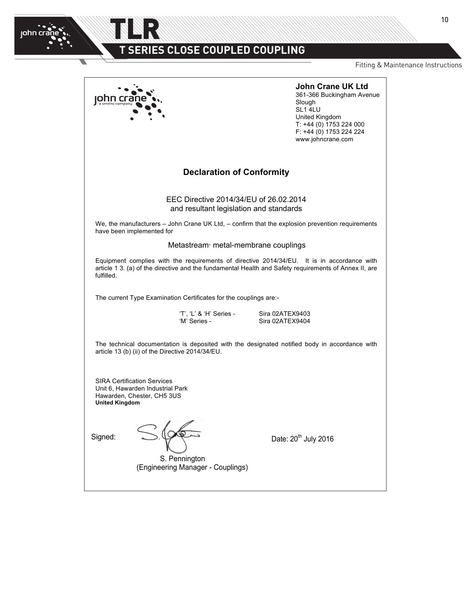$\overline{\phantom{0}}$ 

### TLR**Metastream®** ATEX **I-ATEX EN (rev3)** EEC Directives –  $\mathbf{X}$   $\Box$  SERIES CLUSE CUUPLED CUUPLI **E ALACE AALINE EN AALINE INA** T SERIES CLOSE COUPLED COUPLI<mark>N</mark>G

2014/34/EU (ATEX) & 2006/42/EC (Machinery Directive)

Fitting & Maintenance Instructions

<u>Page 3 of 4 of 4 of 4 of 4 of</u>

|                                                                                                                               |                                                                                   | <b>John Crane UK Ltd</b><br>361-366 Buckingham Avenue<br>Slough<br>SL1 4LU<br>United Kingdom<br>T: +44 (0) 1753 224 000<br>F: +44 (0) 1753 224 224<br>www.johncrane.com                             |
|-------------------------------------------------------------------------------------------------------------------------------|-----------------------------------------------------------------------------------|-----------------------------------------------------------------------------------------------------------------------------------------------------------------------------------------------------|
|                                                                                                                               | <b>Declaration of Conformity</b>                                                  |                                                                                                                                                                                                     |
|                                                                                                                               | EEC Directive 2014/34/EU of 26.02.2014<br>and resultant legislation and standards |                                                                                                                                                                                                     |
| have been implemented for                                                                                                     |                                                                                   | We, the manufacturers - John Crane UK Ltd, - confirm that the explosion prevention requirements                                                                                                     |
|                                                                                                                               | Metastream <sup>®</sup> metal-membrane couplings                                  |                                                                                                                                                                                                     |
| fulfilled.                                                                                                                    |                                                                                   | Equipment complies with the requirements of directive 2014/34/EU. It is in accordance with<br>article 1 3. (a) of the directive and the fundamental Health and Safety requirements of Annex II, are |
|                                                                                                                               | The current Type Examination Certificates for the couplings are:-                 |                                                                                                                                                                                                     |
|                                                                                                                               | 'T', 'L' & 'H' Series -<br>'M' Series -                                           | Sira 02ATEX9403<br>Sira 02ATEX9404                                                                                                                                                                  |
| article 13 (b) (ii) of the Directive 2014/34/EU.                                                                              |                                                                                   | The technical documentation is deposited with the designated notified body in accordance with                                                                                                       |
| <b>SIRA Certification Services</b><br>Unit 6, Hawarden Industrial Park<br>Hawarden, Chester, CH5 3US<br><b>United Kingdom</b> |                                                                                   |                                                                                                                                                                                                     |
| Signed:                                                                                                                       | S. Pennington<br>(Engineering Manager - Couplings)                                | Date: 20 <sup>th</sup> July 2016                                                                                                                                                                    |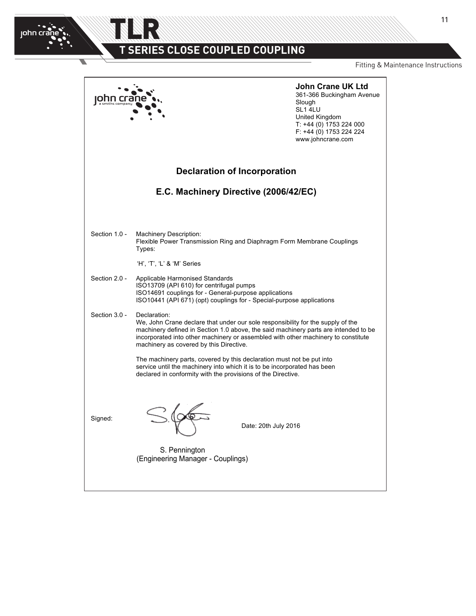2014/34/EU (ATEX) & 2006/42/EC (Machinery Directive)

TLR

john cran

Fitting & Maintenance Instructions

**John Crane UK Ltd** 361-366 Buckingham Avenue john crane Slough SL1 4LU United Kingdom T: +44 (0) 1753 224 000 F: +44 (0) 1753 224 224 www.johncrane.com **Declaration of Incorporation E.C. Machinery Directive (2006/42/EC)** Section 1.0 - Machinery Description: Flexible Power Transmission Ring and Diaphragm Form Membrane Couplings Types: 'H', 'T', 'L' & 'M' Series Section 2.0 - Applicable Harmonised Standards ISO13709 (API 610) for centrifugal pumps ISO14691 couplings for - General-purpose applications ISO10441 (API 671) (opt) couplings for - Special-purpose applications Section 3.0 - Declaration: We, John Crane declare that under our sole responsibility for the supply of the machinery defined in Section 1.0 above, the said machinery parts are intended to be incorporated into other machinery or assembled with other machinery to constitute machinery as covered by this Directive. The machinery parts, covered by this declaration must not be put into service until the machinery into which it is to be incorporated has been declared in conformity with the provisions of the Directive. Signed: Date: 20th July 2016 S. Pennington (Engineering Manager - Couplings)